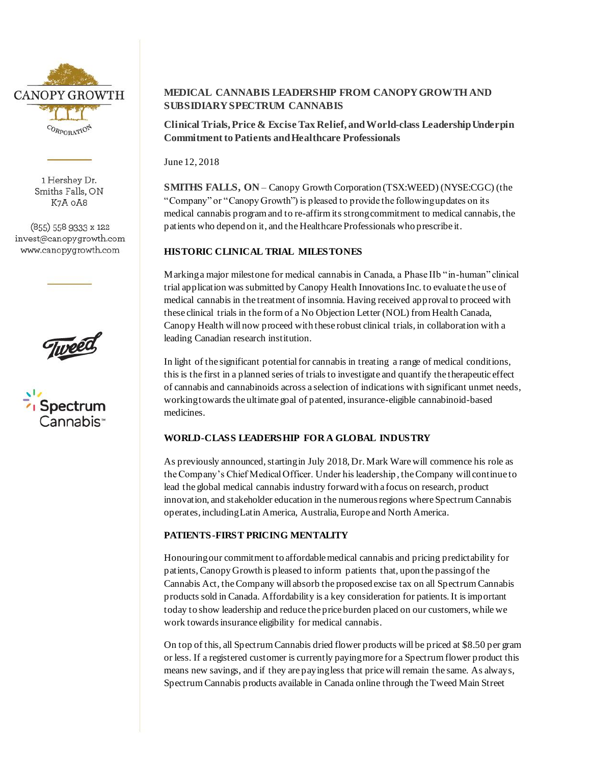

1 Hershey Dr. Smiths Falls, ON K7A OA8

(855) 558 9333 x 122 invest@canopygrowth.com www.canopygrowth.com





# **MEDICAL CANNABIS LEADERSHIP FROM CANOPY GROWTH AND SUBSIDIARY SPECTRUM CANNABIS**

**Clinical Trials, Price & Excise Tax Relief, and World-class Leadership Underpin Commitment to Patients and Healthcare Professionals**

June 12, 2018

**SMITHS FALLS, ON** – Canopy Growth Corporation (TSX:WEED) (NYSE:CGC) (the "Company" or "Canopy Growth") is pleased to provide the following updates on its medical cannabis program and to re-affirm its strong commitment to medical cannabis, the patients who depend on it, and the Healthcare Professionals who prescribe it.

#### **HISTORIC CLINICAL TRIAL MILESTONES**

Marking a major milestone for medical cannabis in Canada, a Phase IIb "in-human" clinical trial application was submitted by Canopy Health Innovations Inc. to evaluate the use of medical cannabis in the treatment of insomnia. Having received approval to proceed with these clinical trials in the form of a No Objection Letter (NOL) from Health Canada, Canopy Health will now proceed with these robust clinical trials, in collaboration with a leading Canadian research institution.

In light of the significant potential for cannabis in treating a range of medical conditions, this is the first in a planned series of trials to investigate and quantify the therapeutic effect of cannabis and cannabinoids across a selection of indications with significant unmet needs, working towards the ultimate goal of patented, insurance-eligible cannabinoid-based medicines.

## **WORLD-CLASS LEADERSHIP FOR A GLOBAL INDUSTRY**

As previously announced, starting in July 2018, Dr. Mark Ware will commence his role as the Company's Chief Medical Officer. Under his leadership , the Company will continue to lead the global medical cannabis industry forward with a focus on research, product innovation, and stakeholder education in the numerous regions where Spectrum Cannabis operates, including Latin America, Australia, Europe and North America.

## **PATIENTS-FIRST PRICING MENTALITY**

Honouringour commitment to affordable medical cannabis and pricing predictability for patients, Canopy Growth is pleased to inform patients that, upon the passing of the Cannabis Act, the Company will absorb the proposed excise tax on all Spectrum Cannabis products sold in Canada. Affordability is a key consideration for patients. It is important today to show leadership and reduce the price burden placed on our customers, while we work towards insurance eligibility for medical cannabis.

On top of this, all Spectrum Cannabis dried flower products will be priced at \$8.50 per gram or less. If a registered customer is currently paying more for a Spectrum flower product this means new savings, and if they are paying less that price will remain the same. As always, Spectrum Cannabis products available in Canada online through the Tweed Main Street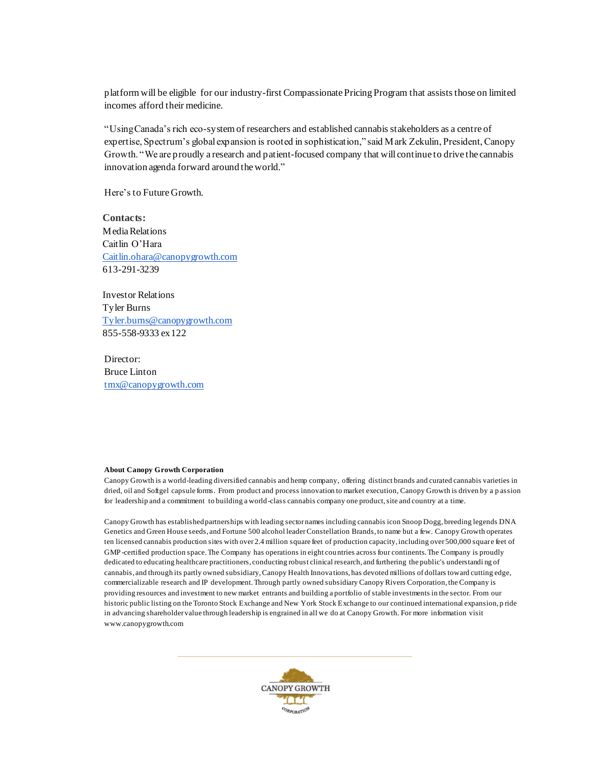platform will be eligible for our industry-first Compassionate Pricing Program that assists those on limited incomes afford their medicine.

"Using Canada's rich eco-system of researchers and established cannabis stakeholders as a centre of expertise, Spectrum's global expansion is rooted in sophistication," said Mark Zekulin, President, Canopy Growth. "We are proudly a research and patient-focused company that will continue to drive the cannabis innovation agenda forward around the world."

Here's to Future Growth.

**Contacts:** Media Relations Caitlin O'Hara [Caitlin.ohara@canopygrowth.com](mailto:Caitlin.ohara@canopygrowth.com) 613-291-3239

Investor Relations Tyler Burns [Tyler.burns@canopygrowth.com](mailto:Tyler.burns@canopygrowth.com) 855-558-9333 ex 122

Director: Bruce Linton [tmx@canopygrowth.com](mailto:tmx@canopygrowth.com)

#### **About Canopy Growth Corporation**

Canopy Growth is a world-leading diversified cannabis and hemp company, offering distinct brands and curated cannabis varieties in dried, oil and Softgel capsule forms. From product and process innovation to market execution, Canopy Growth is driven by a p assion for leadership and a commitment to building a world-class cannabis company one product, site and country at a time.

Canopy Growth has established partnerships with leading sector names including cannabis icon Snoop Dogg, breeding legends DNA Genetics and Green House seeds, and Fortune 500 alcohol leader Constellation Brands, to name but a few. Canopy Growth operates ten licensed cannabis production sites with over 2.4 million square feet of production capacity, including over 500,000 square feet of GMP -certified production space. The Company has operations in eight countries across four continents. The Company is proudly dedicated to educating healthcare practitioners, conducting robust clinical research, and furthering the public's understandi ng of cannabis, and through its partly owned subsidiary, Canopy Health Innovations, has devoted millions of dollars toward cutting edge, commercializable research and IP development. Through partly owned subsidiary Canopy Rivers Corporation, the Company is providing resources and investment to new market entrants and building a portfolio of stable investments in the sector. From our historic public listing on the Toronto Stock Exchange and New York Stock Exchange to our continued international expansion, p ride in advancing shareholder value through leadership is engrained in all we do at Canopy Growth. For more information visit www.canopygrowth.com